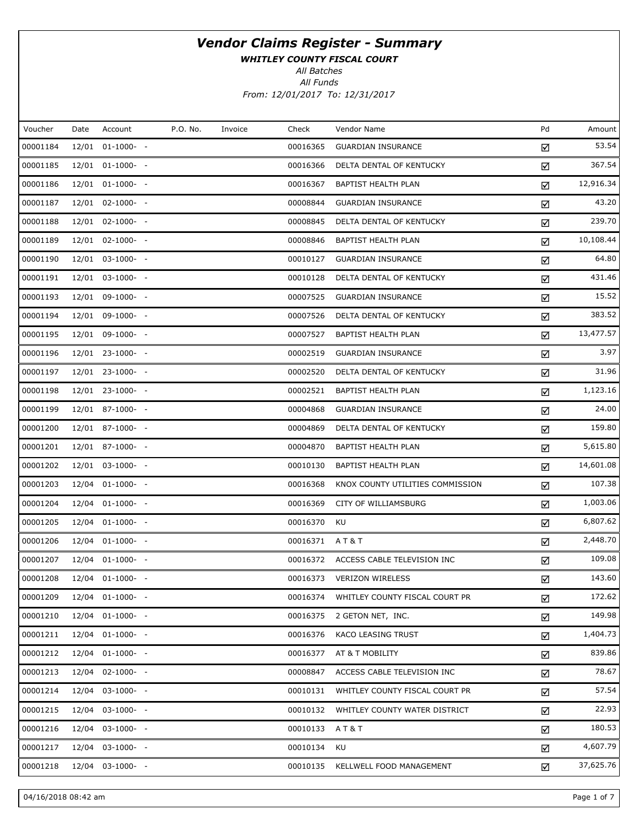WHITLEY COUNTY FISCAL COURT

All Batches

| Voucher  | Date | Account          | P.O. No. | Invoice | Check    | Vendor Name                      | Pd | Amount    |
|----------|------|------------------|----------|---------|----------|----------------------------------|----|-----------|
| 00001184 |      | 12/01 01-1000- - |          |         | 00016365 | <b>GUARDIAN INSURANCE</b>        | ☑  | 53.54     |
| 00001185 |      | 12/01 01-1000- - |          |         | 00016366 | DELTA DENTAL OF KENTUCKY         | ☑  | 367.54    |
| 00001186 |      | 12/01 01-1000- - |          |         | 00016367 | BAPTIST HEALTH PLAN              | ☑  | 12,916.34 |
| 00001187 |      | 12/01 02-1000- - |          |         | 00008844 | <b>GUARDIAN INSURANCE</b>        | ☑  | 43.20     |
| 00001188 |      | 12/01 02-1000- - |          |         | 00008845 | DELTA DENTAL OF KENTUCKY         | ☑  | 239.70    |
| 00001189 |      | 12/01 02-1000- - |          |         | 00008846 | BAPTIST HEALTH PLAN              | ☑  | 10,108.44 |
| 00001190 |      | 12/01 03-1000- - |          |         | 00010127 | <b>GUARDIAN INSURANCE</b>        | ☑  | 64.80     |
| 00001191 |      | 12/01 03-1000- - |          |         | 00010128 | DELTA DENTAL OF KENTUCKY         | ☑  | 431.46    |
| 00001193 |      | 12/01 09-1000- - |          |         | 00007525 | <b>GUARDIAN INSURANCE</b>        | ☑  | 15.52     |
| 00001194 |      | 12/01 09-1000- - |          |         | 00007526 | DELTA DENTAL OF KENTUCKY         | ☑  | 383.52    |
| 00001195 |      | 12/01 09-1000- - |          |         | 00007527 | BAPTIST HEALTH PLAN              | ☑  | 13,477.57 |
| 00001196 |      | 12/01 23-1000- - |          |         | 00002519 | <b>GUARDIAN INSURANCE</b>        | ☑  | 3.97      |
| 00001197 |      | 12/01 23-1000- - |          |         | 00002520 | DELTA DENTAL OF KENTUCKY         | ☑  | 31.96     |
| 00001198 |      | 12/01 23-1000- - |          |         | 00002521 | BAPTIST HEALTH PLAN              | ☑  | 1,123.16  |
| 00001199 |      | 12/01 87-1000- - |          |         | 00004868 | <b>GUARDIAN INSURANCE</b>        | ☑  | 24.00     |
| 00001200 |      | 12/01 87-1000- - |          |         | 00004869 | DELTA DENTAL OF KENTUCKY         | ☑  | 159.80    |
| 00001201 |      | 12/01 87-1000- - |          |         | 00004870 | BAPTIST HEALTH PLAN              | ☑  | 5,615.80  |
| 00001202 |      | 12/01 03-1000- - |          |         | 00010130 | BAPTIST HEALTH PLAN              | ☑  | 14,601.08 |
| 00001203 |      | 12/04 01-1000- - |          |         | 00016368 | KNOX COUNTY UTILITIES COMMISSION | ☑  | 107.38    |
| 00001204 |      | 12/04 01-1000- - |          |         | 00016369 | CITY OF WILLIAMSBURG             | ☑  | 1,003.06  |
| 00001205 |      | 12/04 01-1000- - |          |         | 00016370 | KU                               | ☑  | 6,807.62  |
| 00001206 |      | 12/04 01-1000- - |          |         | 00016371 | A T & T                          | ☑  | 2,448.70  |
| 00001207 |      | 12/04 01-1000- - |          |         | 00016372 | ACCESS CABLE TELEVISION INC      | ☑  | 109.08    |
| 00001208 |      | 12/04 01-1000- - |          |         | 00016373 | <b>VERIZON WIRELESS</b>          | ☑  | 143.60    |
| 00001209 |      | 12/04 01-1000- - |          |         | 00016374 | WHITLEY COUNTY FISCAL COURT PR   | ☑  | 172.62    |
| 00001210 |      | 12/04 01-1000- - |          |         | 00016375 | 2 GETON NET, INC.                | ☑  | 149.98    |
| 00001211 |      | 12/04 01-1000- - |          |         | 00016376 | <b>KACO LEASING TRUST</b>        | ☑  | 1,404.73  |
| 00001212 |      | 12/04 01-1000- - |          |         | 00016377 | AT & T MOBILITY                  | ☑  | 839.86    |
| 00001213 |      | 12/04 02-1000- - |          |         | 00008847 | ACCESS CABLE TELEVISION INC      | ☑  | 78.67     |
| 00001214 |      | 12/04 03-1000- - |          |         | 00010131 | WHITLEY COUNTY FISCAL COURT PR   | ☑  | 57.54     |
| 00001215 |      | 12/04 03-1000- - |          |         | 00010132 | WHITLEY COUNTY WATER DISTRICT    | ☑  | 22.93     |
| 00001216 |      | 12/04 03-1000- - |          |         | 00010133 | AT&T                             | ☑  | 180.53    |
| 00001217 |      | 12/04 03-1000- - |          |         | 00010134 | KU                               | ☑  | 4,607.79  |
| 00001218 |      | 12/04 03-1000- - |          |         | 00010135 | KELLWELL FOOD MANAGEMENT         | ☑  | 37,625.76 |
|          |      |                  |          |         |          |                                  |    |           |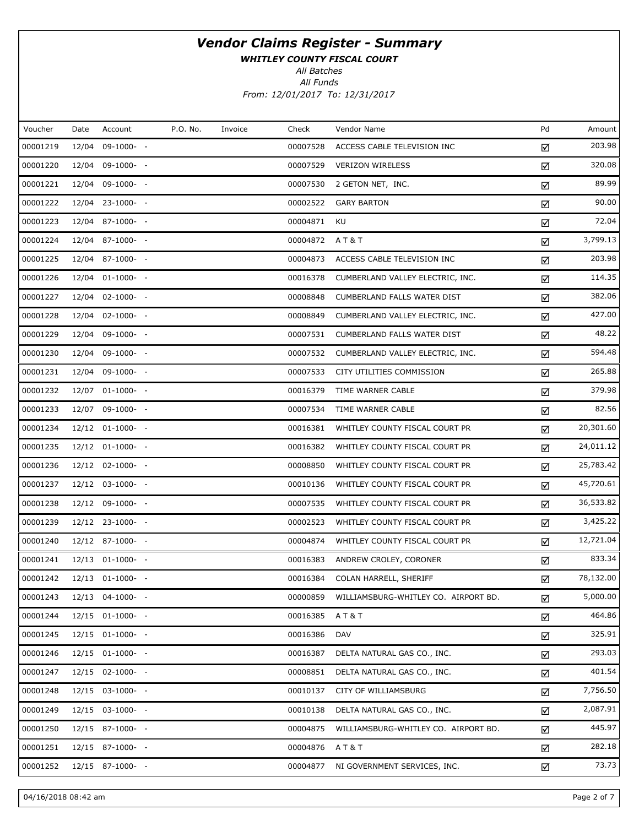WHITLEY COUNTY FISCAL COURT

All Batches

All Funds From: 12/01/2017 To: 12/31/2017

| Voucher  | Date  | Account          | P.O. No. | Invoice | Check    | Vendor Name                          | Pd | Amount    |
|----------|-------|------------------|----------|---------|----------|--------------------------------------|----|-----------|
| 00001219 | 12/04 | $09-1000- -$     |          |         | 00007528 | ACCESS CABLE TELEVISION INC          | ☑  | 203.98    |
| 00001220 |       | 12/04 09-1000- - |          |         | 00007529 | <b>VERIZON WIRELESS</b>              | ☑  | 320.08    |
| 00001221 | 12/04 | 09-1000- -       |          |         | 00007530 | 2 GETON NET, INC.                    | ☑  | 89.99     |
| 00001222 |       | 12/04 23-1000- - |          |         | 00002522 | <b>GARY BARTON</b>                   | ☑  | 90.00     |
| 00001223 |       | 12/04 87-1000- - |          |         | 00004871 | KU                                   | ☑  | 72.04     |
| 00001224 |       | 12/04 87-1000- - |          |         | 00004872 | AT&T                                 | ☑  | 3,799.13  |
| 00001225 |       | 12/04 87-1000- - |          |         | 00004873 | ACCESS CABLE TELEVISION INC          | ☑  | 203.98    |
| 00001226 |       | 12/04 01-1000- - |          |         | 00016378 | CUMBERLAND VALLEY ELECTRIC, INC.     | ☑  | 114.35    |
| 00001227 |       | 12/04 02-1000- - |          |         | 00008848 | CUMBERLAND FALLS WATER DIST          | ☑  | 382.06    |
| 00001228 |       | 12/04 02-1000- - |          |         | 00008849 | CUMBERLAND VALLEY ELECTRIC, INC.     | ☑  | 427.00    |
| 00001229 |       | 12/04 09-1000- - |          |         | 00007531 | CUMBERLAND FALLS WATER DIST          | ☑  | 48.22     |
| 00001230 |       | 12/04 09-1000- - |          |         | 00007532 | CUMBERLAND VALLEY ELECTRIC, INC.     | ☑  | 594.48    |
| 00001231 |       | 12/04 09-1000- - |          |         | 00007533 | CITY UTILITIES COMMISSION            | ☑  | 265.88    |
| 00001232 |       | 12/07 01-1000- - |          |         | 00016379 | TIME WARNER CABLE                    | ☑  | 379.98    |
| 00001233 |       | 12/07 09-1000- - |          |         | 00007534 | TIME WARNER CABLE                    | ☑  | 82.56     |
| 00001234 |       | 12/12 01-1000- - |          |         | 00016381 | WHITLEY COUNTY FISCAL COURT PR       | ☑  | 20,301.60 |
| 00001235 |       | 12/12 01-1000- - |          |         | 00016382 | WHITLEY COUNTY FISCAL COURT PR       | ☑  | 24,011.12 |
| 00001236 |       | 12/12 02-1000- - |          |         | 00008850 | WHITLEY COUNTY FISCAL COURT PR       | ☑  | 25,783.42 |
| 00001237 |       | 12/12 03-1000- - |          |         | 00010136 | WHITLEY COUNTY FISCAL COURT PR       | ☑  | 45,720.61 |
| 00001238 |       | 12/12 09-1000- - |          |         | 00007535 | WHITLEY COUNTY FISCAL COURT PR       | ☑  | 36,533.82 |
| 00001239 |       | 12/12 23-1000- - |          |         | 00002523 | WHITLEY COUNTY FISCAL COURT PR       | ☑  | 3,425.22  |
| 00001240 |       | 12/12 87-1000- - |          |         | 00004874 | WHITLEY COUNTY FISCAL COURT PR       | ☑  | 12,721.04 |
| 00001241 |       | 12/13 01-1000- - |          |         | 00016383 | ANDREW CROLEY, CORONER               | ☑  | 833.34    |
| 00001242 |       | 12/13 01-1000- - |          |         | 00016384 | COLAN HARRELL, SHERIFF               | ☑  | 78,132.00 |
| 00001243 |       | 12/13 04-1000- - |          |         | 00000859 | WILLIAMSBURG-WHITLEY CO. AIRPORT BD. | ☑  | 5,000.00  |
| 00001244 |       | 12/15 01-1000- - |          |         | 00016385 | AT&T                                 | ☑  | 464.86    |
| 00001245 |       | 12/15 01-1000- - |          |         | 00016386 | <b>DAV</b>                           | ☑  | 325.91    |
| 00001246 |       | 12/15 01-1000- - |          |         | 00016387 | DELTA NATURAL GAS CO., INC.          | ☑  | 293.03    |
| 00001247 |       | 12/15 02-1000- - |          |         | 00008851 | DELTA NATURAL GAS CO., INC.          | ☑  | 401.54    |
| 00001248 |       | 12/15 03-1000- - |          |         | 00010137 | CITY OF WILLIAMSBURG                 | ☑  | 7,756.50  |
| 00001249 |       | 12/15 03-1000- - |          |         | 00010138 | DELTA NATURAL GAS CO., INC.          | ☑  | 2,087.91  |
| 00001250 |       | 12/15 87-1000- - |          |         | 00004875 | WILLIAMSBURG-WHITLEY CO. AIRPORT BD. | ☑  | 445.97    |
| 00001251 |       | 12/15 87-1000- - |          |         | 00004876 | AT&T                                 | ☑  | 282.18    |
| 00001252 |       | 12/15 87-1000- - |          |         | 00004877 | NI GOVERNMENT SERVICES, INC.         | ☑  | 73.73     |

04/16/2018 08:42 am Page 2 of 7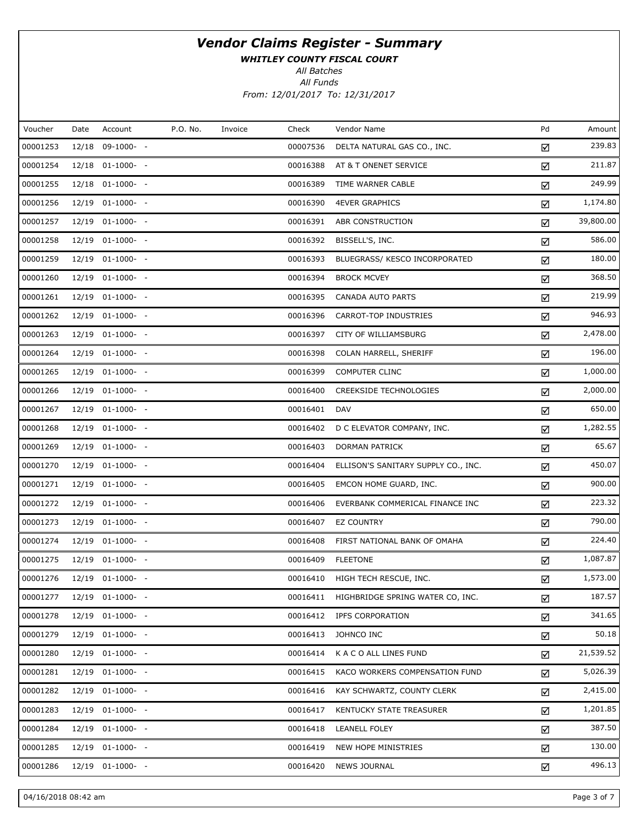WHITLEY COUNTY FISCAL COURT

All Batches

| P.O. No.<br>Pd<br>Voucher<br>Account<br>Check<br>Vendor Name<br>Date<br>Invoice<br>00001253<br>12/18 09-1000- -<br>00007536<br>DELTA NATURAL GAS CO., INC.<br>☑<br>00001254<br>12/18 01-1000- -<br>00016388<br>AT & T ONENET SERVICE<br>☑<br>00001255<br>12/18 01-1000- -<br>00016389<br>TIME WARNER CABLE<br>☑<br>00001256<br>12/19 01-1000- -<br>00016390<br><b>4EVER GRAPHICS</b><br>☑<br>00001257<br>12/19 01-1000- -<br>00016391<br>ABR CONSTRUCTION<br>☑<br>00001258<br>12/19 01-1000- -<br>00016392<br>BISSELL'S, INC.<br>☑<br>00001259<br>12/19 01-1000- -<br>00016393<br>BLUEGRASS/ KESCO INCORPORATED<br>☑<br>00001260<br>12/19 01-1000- -<br>00016394<br><b>BROCK MCVEY</b><br>☑<br>00001261<br>12/19 01-1000- -<br>00016395<br>CANADA AUTO PARTS<br>☑<br>00001262<br>12/19 01-1000- -<br>00016396<br>CARROT-TOP INDUSTRIES<br>☑<br>00001263<br>12/19 01-1000- -<br>00016397<br><b>CITY OF WILLIAMSBURG</b><br>☑<br>00001264<br>12/19 01-1000- -<br>00016398<br>COLAN HARRELL, SHERIFF<br>☑<br>00001265<br>12/19 01-1000- -<br>00016399<br><b>COMPUTER CLINC</b><br>☑<br>00001266<br>12/19 01-1000- -<br>00016400<br><b>CREEKSIDE TECHNOLOGIES</b><br>☑<br>00001267<br>12/19 01-1000- -<br>00016401<br><b>DAV</b><br>☑<br>00001268<br>12/19 01-1000- -<br>00016402<br>D C ELEVATOR COMPANY, INC.<br>☑<br>00001269<br>12/19 01-1000- -<br>00016403<br>DORMAN PATRICK<br>☑<br>00001270<br>12/19 01-1000- -<br>00016404<br>ELLISON'S SANITARY SUPPLY CO., INC.<br>☑<br>00001271<br>12/19 01-1000- -<br>00016405<br>EMCON HOME GUARD, INC.<br>☑<br>00001272<br>12/19 01-1000- -<br>00016406<br>EVERBANK COMMERICAL FINANCE INC<br>☑<br>00001273<br>12/19 01-1000- -<br>00016407<br><b>EZ COUNTRY</b><br>☑<br>00001274<br>12/19 01-1000- -<br>00016408<br>FIRST NATIONAL BANK OF OMAHA<br>☑<br>00001275<br>12/19 01-1000- -<br>00016409<br><b>FLEETONE</b><br>☑<br>00001276<br>12/19 01-1000- -<br>00016410<br>HIGH TECH RESCUE, INC.<br>☑<br>00001277<br>12/19 01-1000- -<br>00016411<br>HIGHBRIDGE SPRING WATER CO, INC.<br>☑<br>00001278<br>12/19 01-1000- -<br>00016412<br>IPFS CORPORATION<br>☑<br>00001279<br>12/19 01-1000- -<br>00016413<br>JOHNCO INC<br>☑<br>00001280<br>12/19 01-1000- -<br>00016414<br>K A C O ALL LINES FUND<br>☑<br>00001281<br>12/19 01-1000- -<br>00016415<br>KACO WORKERS COMPENSATION FUND<br>☑<br>00001282<br>12/19 01-1000- -<br>00016416<br>KAY SCHWARTZ, COUNTY CLERK<br>☑<br>00001283<br>12/19 01-1000- -<br>00016417<br>KENTUCKY STATE TREASURER<br>☑<br>00001284<br>12/19 01-1000- -<br>00016418<br><b>LEANELL FOLEY</b><br>☑<br>00001285<br>12/19 01-1000- -<br>00016419<br>NEW HOPE MINISTRIES<br>☑<br>12/19 01-1000- - |          |  |  |          |                     |   |           |
|--------------------------------------------------------------------------------------------------------------------------------------------------------------------------------------------------------------------------------------------------------------------------------------------------------------------------------------------------------------------------------------------------------------------------------------------------------------------------------------------------------------------------------------------------------------------------------------------------------------------------------------------------------------------------------------------------------------------------------------------------------------------------------------------------------------------------------------------------------------------------------------------------------------------------------------------------------------------------------------------------------------------------------------------------------------------------------------------------------------------------------------------------------------------------------------------------------------------------------------------------------------------------------------------------------------------------------------------------------------------------------------------------------------------------------------------------------------------------------------------------------------------------------------------------------------------------------------------------------------------------------------------------------------------------------------------------------------------------------------------------------------------------------------------------------------------------------------------------------------------------------------------------------------------------------------------------------------------------------------------------------------------------------------------------------------------------------------------------------------------------------------------------------------------------------------------------------------------------------------------------------------------------------------------------------------------------------------------------------------------------------------------------------------------------------------------------------------------------------------------------------------------------------------------------------------------------------------------------------------------------------------------------------------------------|----------|--|--|----------|---------------------|---|-----------|
|                                                                                                                                                                                                                                                                                                                                                                                                                                                                                                                                                                                                                                                                                                                                                                                                                                                                                                                                                                                                                                                                                                                                                                                                                                                                                                                                                                                                                                                                                                                                                                                                                                                                                                                                                                                                                                                                                                                                                                                                                                                                                                                                                                                                                                                                                                                                                                                                                                                                                                                                                                                                                                                                          |          |  |  |          |                     |   | Amount    |
|                                                                                                                                                                                                                                                                                                                                                                                                                                                                                                                                                                                                                                                                                                                                                                                                                                                                                                                                                                                                                                                                                                                                                                                                                                                                                                                                                                                                                                                                                                                                                                                                                                                                                                                                                                                                                                                                                                                                                                                                                                                                                                                                                                                                                                                                                                                                                                                                                                                                                                                                                                                                                                                                          |          |  |  |          |                     |   | 239.83    |
|                                                                                                                                                                                                                                                                                                                                                                                                                                                                                                                                                                                                                                                                                                                                                                                                                                                                                                                                                                                                                                                                                                                                                                                                                                                                                                                                                                                                                                                                                                                                                                                                                                                                                                                                                                                                                                                                                                                                                                                                                                                                                                                                                                                                                                                                                                                                                                                                                                                                                                                                                                                                                                                                          |          |  |  |          |                     |   | 211.87    |
|                                                                                                                                                                                                                                                                                                                                                                                                                                                                                                                                                                                                                                                                                                                                                                                                                                                                                                                                                                                                                                                                                                                                                                                                                                                                                                                                                                                                                                                                                                                                                                                                                                                                                                                                                                                                                                                                                                                                                                                                                                                                                                                                                                                                                                                                                                                                                                                                                                                                                                                                                                                                                                                                          |          |  |  |          |                     |   | 249.99    |
|                                                                                                                                                                                                                                                                                                                                                                                                                                                                                                                                                                                                                                                                                                                                                                                                                                                                                                                                                                                                                                                                                                                                                                                                                                                                                                                                                                                                                                                                                                                                                                                                                                                                                                                                                                                                                                                                                                                                                                                                                                                                                                                                                                                                                                                                                                                                                                                                                                                                                                                                                                                                                                                                          |          |  |  |          |                     |   | 1,174.80  |
|                                                                                                                                                                                                                                                                                                                                                                                                                                                                                                                                                                                                                                                                                                                                                                                                                                                                                                                                                                                                                                                                                                                                                                                                                                                                                                                                                                                                                                                                                                                                                                                                                                                                                                                                                                                                                                                                                                                                                                                                                                                                                                                                                                                                                                                                                                                                                                                                                                                                                                                                                                                                                                                                          |          |  |  |          |                     |   | 39,800.00 |
|                                                                                                                                                                                                                                                                                                                                                                                                                                                                                                                                                                                                                                                                                                                                                                                                                                                                                                                                                                                                                                                                                                                                                                                                                                                                                                                                                                                                                                                                                                                                                                                                                                                                                                                                                                                                                                                                                                                                                                                                                                                                                                                                                                                                                                                                                                                                                                                                                                                                                                                                                                                                                                                                          |          |  |  |          |                     |   | 586.00    |
|                                                                                                                                                                                                                                                                                                                                                                                                                                                                                                                                                                                                                                                                                                                                                                                                                                                                                                                                                                                                                                                                                                                                                                                                                                                                                                                                                                                                                                                                                                                                                                                                                                                                                                                                                                                                                                                                                                                                                                                                                                                                                                                                                                                                                                                                                                                                                                                                                                                                                                                                                                                                                                                                          |          |  |  |          |                     |   | 180.00    |
|                                                                                                                                                                                                                                                                                                                                                                                                                                                                                                                                                                                                                                                                                                                                                                                                                                                                                                                                                                                                                                                                                                                                                                                                                                                                                                                                                                                                                                                                                                                                                                                                                                                                                                                                                                                                                                                                                                                                                                                                                                                                                                                                                                                                                                                                                                                                                                                                                                                                                                                                                                                                                                                                          |          |  |  |          |                     |   | 368.50    |
|                                                                                                                                                                                                                                                                                                                                                                                                                                                                                                                                                                                                                                                                                                                                                                                                                                                                                                                                                                                                                                                                                                                                                                                                                                                                                                                                                                                                                                                                                                                                                                                                                                                                                                                                                                                                                                                                                                                                                                                                                                                                                                                                                                                                                                                                                                                                                                                                                                                                                                                                                                                                                                                                          |          |  |  |          |                     |   | 219.99    |
|                                                                                                                                                                                                                                                                                                                                                                                                                                                                                                                                                                                                                                                                                                                                                                                                                                                                                                                                                                                                                                                                                                                                                                                                                                                                                                                                                                                                                                                                                                                                                                                                                                                                                                                                                                                                                                                                                                                                                                                                                                                                                                                                                                                                                                                                                                                                                                                                                                                                                                                                                                                                                                                                          |          |  |  |          |                     |   | 946.93    |
|                                                                                                                                                                                                                                                                                                                                                                                                                                                                                                                                                                                                                                                                                                                                                                                                                                                                                                                                                                                                                                                                                                                                                                                                                                                                                                                                                                                                                                                                                                                                                                                                                                                                                                                                                                                                                                                                                                                                                                                                                                                                                                                                                                                                                                                                                                                                                                                                                                                                                                                                                                                                                                                                          |          |  |  |          |                     |   | 2,478.00  |
|                                                                                                                                                                                                                                                                                                                                                                                                                                                                                                                                                                                                                                                                                                                                                                                                                                                                                                                                                                                                                                                                                                                                                                                                                                                                                                                                                                                                                                                                                                                                                                                                                                                                                                                                                                                                                                                                                                                                                                                                                                                                                                                                                                                                                                                                                                                                                                                                                                                                                                                                                                                                                                                                          |          |  |  |          |                     |   | 196.00    |
|                                                                                                                                                                                                                                                                                                                                                                                                                                                                                                                                                                                                                                                                                                                                                                                                                                                                                                                                                                                                                                                                                                                                                                                                                                                                                                                                                                                                                                                                                                                                                                                                                                                                                                                                                                                                                                                                                                                                                                                                                                                                                                                                                                                                                                                                                                                                                                                                                                                                                                                                                                                                                                                                          |          |  |  |          |                     |   | 1,000.00  |
|                                                                                                                                                                                                                                                                                                                                                                                                                                                                                                                                                                                                                                                                                                                                                                                                                                                                                                                                                                                                                                                                                                                                                                                                                                                                                                                                                                                                                                                                                                                                                                                                                                                                                                                                                                                                                                                                                                                                                                                                                                                                                                                                                                                                                                                                                                                                                                                                                                                                                                                                                                                                                                                                          |          |  |  |          |                     |   | 2,000.00  |
|                                                                                                                                                                                                                                                                                                                                                                                                                                                                                                                                                                                                                                                                                                                                                                                                                                                                                                                                                                                                                                                                                                                                                                                                                                                                                                                                                                                                                                                                                                                                                                                                                                                                                                                                                                                                                                                                                                                                                                                                                                                                                                                                                                                                                                                                                                                                                                                                                                                                                                                                                                                                                                                                          |          |  |  |          |                     |   | 650.00    |
|                                                                                                                                                                                                                                                                                                                                                                                                                                                                                                                                                                                                                                                                                                                                                                                                                                                                                                                                                                                                                                                                                                                                                                                                                                                                                                                                                                                                                                                                                                                                                                                                                                                                                                                                                                                                                                                                                                                                                                                                                                                                                                                                                                                                                                                                                                                                                                                                                                                                                                                                                                                                                                                                          |          |  |  |          |                     |   | 1,282.55  |
|                                                                                                                                                                                                                                                                                                                                                                                                                                                                                                                                                                                                                                                                                                                                                                                                                                                                                                                                                                                                                                                                                                                                                                                                                                                                                                                                                                                                                                                                                                                                                                                                                                                                                                                                                                                                                                                                                                                                                                                                                                                                                                                                                                                                                                                                                                                                                                                                                                                                                                                                                                                                                                                                          |          |  |  |          |                     |   | 65.67     |
|                                                                                                                                                                                                                                                                                                                                                                                                                                                                                                                                                                                                                                                                                                                                                                                                                                                                                                                                                                                                                                                                                                                                                                                                                                                                                                                                                                                                                                                                                                                                                                                                                                                                                                                                                                                                                                                                                                                                                                                                                                                                                                                                                                                                                                                                                                                                                                                                                                                                                                                                                                                                                                                                          |          |  |  |          |                     |   | 450.07    |
|                                                                                                                                                                                                                                                                                                                                                                                                                                                                                                                                                                                                                                                                                                                                                                                                                                                                                                                                                                                                                                                                                                                                                                                                                                                                                                                                                                                                                                                                                                                                                                                                                                                                                                                                                                                                                                                                                                                                                                                                                                                                                                                                                                                                                                                                                                                                                                                                                                                                                                                                                                                                                                                                          |          |  |  |          |                     |   | 900.00    |
|                                                                                                                                                                                                                                                                                                                                                                                                                                                                                                                                                                                                                                                                                                                                                                                                                                                                                                                                                                                                                                                                                                                                                                                                                                                                                                                                                                                                                                                                                                                                                                                                                                                                                                                                                                                                                                                                                                                                                                                                                                                                                                                                                                                                                                                                                                                                                                                                                                                                                                                                                                                                                                                                          |          |  |  |          |                     |   | 223.32    |
|                                                                                                                                                                                                                                                                                                                                                                                                                                                                                                                                                                                                                                                                                                                                                                                                                                                                                                                                                                                                                                                                                                                                                                                                                                                                                                                                                                                                                                                                                                                                                                                                                                                                                                                                                                                                                                                                                                                                                                                                                                                                                                                                                                                                                                                                                                                                                                                                                                                                                                                                                                                                                                                                          |          |  |  |          |                     |   | 790.00    |
|                                                                                                                                                                                                                                                                                                                                                                                                                                                                                                                                                                                                                                                                                                                                                                                                                                                                                                                                                                                                                                                                                                                                                                                                                                                                                                                                                                                                                                                                                                                                                                                                                                                                                                                                                                                                                                                                                                                                                                                                                                                                                                                                                                                                                                                                                                                                                                                                                                                                                                                                                                                                                                                                          |          |  |  |          |                     |   | 224.40    |
|                                                                                                                                                                                                                                                                                                                                                                                                                                                                                                                                                                                                                                                                                                                                                                                                                                                                                                                                                                                                                                                                                                                                                                                                                                                                                                                                                                                                                                                                                                                                                                                                                                                                                                                                                                                                                                                                                                                                                                                                                                                                                                                                                                                                                                                                                                                                                                                                                                                                                                                                                                                                                                                                          |          |  |  |          |                     |   | 1,087.87  |
|                                                                                                                                                                                                                                                                                                                                                                                                                                                                                                                                                                                                                                                                                                                                                                                                                                                                                                                                                                                                                                                                                                                                                                                                                                                                                                                                                                                                                                                                                                                                                                                                                                                                                                                                                                                                                                                                                                                                                                                                                                                                                                                                                                                                                                                                                                                                                                                                                                                                                                                                                                                                                                                                          |          |  |  |          |                     |   | 1,573.00  |
|                                                                                                                                                                                                                                                                                                                                                                                                                                                                                                                                                                                                                                                                                                                                                                                                                                                                                                                                                                                                                                                                                                                                                                                                                                                                                                                                                                                                                                                                                                                                                                                                                                                                                                                                                                                                                                                                                                                                                                                                                                                                                                                                                                                                                                                                                                                                                                                                                                                                                                                                                                                                                                                                          |          |  |  |          |                     |   | 187.57    |
|                                                                                                                                                                                                                                                                                                                                                                                                                                                                                                                                                                                                                                                                                                                                                                                                                                                                                                                                                                                                                                                                                                                                                                                                                                                                                                                                                                                                                                                                                                                                                                                                                                                                                                                                                                                                                                                                                                                                                                                                                                                                                                                                                                                                                                                                                                                                                                                                                                                                                                                                                                                                                                                                          |          |  |  |          |                     |   | 341.65    |
|                                                                                                                                                                                                                                                                                                                                                                                                                                                                                                                                                                                                                                                                                                                                                                                                                                                                                                                                                                                                                                                                                                                                                                                                                                                                                                                                                                                                                                                                                                                                                                                                                                                                                                                                                                                                                                                                                                                                                                                                                                                                                                                                                                                                                                                                                                                                                                                                                                                                                                                                                                                                                                                                          |          |  |  |          |                     |   | 50.18     |
|                                                                                                                                                                                                                                                                                                                                                                                                                                                                                                                                                                                                                                                                                                                                                                                                                                                                                                                                                                                                                                                                                                                                                                                                                                                                                                                                                                                                                                                                                                                                                                                                                                                                                                                                                                                                                                                                                                                                                                                                                                                                                                                                                                                                                                                                                                                                                                                                                                                                                                                                                                                                                                                                          |          |  |  |          |                     |   | 21,539.52 |
|                                                                                                                                                                                                                                                                                                                                                                                                                                                                                                                                                                                                                                                                                                                                                                                                                                                                                                                                                                                                                                                                                                                                                                                                                                                                                                                                                                                                                                                                                                                                                                                                                                                                                                                                                                                                                                                                                                                                                                                                                                                                                                                                                                                                                                                                                                                                                                                                                                                                                                                                                                                                                                                                          |          |  |  |          |                     |   | 5,026.39  |
|                                                                                                                                                                                                                                                                                                                                                                                                                                                                                                                                                                                                                                                                                                                                                                                                                                                                                                                                                                                                                                                                                                                                                                                                                                                                                                                                                                                                                                                                                                                                                                                                                                                                                                                                                                                                                                                                                                                                                                                                                                                                                                                                                                                                                                                                                                                                                                                                                                                                                                                                                                                                                                                                          |          |  |  |          |                     |   | 2,415.00  |
|                                                                                                                                                                                                                                                                                                                                                                                                                                                                                                                                                                                                                                                                                                                                                                                                                                                                                                                                                                                                                                                                                                                                                                                                                                                                                                                                                                                                                                                                                                                                                                                                                                                                                                                                                                                                                                                                                                                                                                                                                                                                                                                                                                                                                                                                                                                                                                                                                                                                                                                                                                                                                                                                          |          |  |  |          |                     |   | 1,201.85  |
|                                                                                                                                                                                                                                                                                                                                                                                                                                                                                                                                                                                                                                                                                                                                                                                                                                                                                                                                                                                                                                                                                                                                                                                                                                                                                                                                                                                                                                                                                                                                                                                                                                                                                                                                                                                                                                                                                                                                                                                                                                                                                                                                                                                                                                                                                                                                                                                                                                                                                                                                                                                                                                                                          |          |  |  |          |                     |   | 387.50    |
|                                                                                                                                                                                                                                                                                                                                                                                                                                                                                                                                                                                                                                                                                                                                                                                                                                                                                                                                                                                                                                                                                                                                                                                                                                                                                                                                                                                                                                                                                                                                                                                                                                                                                                                                                                                                                                                                                                                                                                                                                                                                                                                                                                                                                                                                                                                                                                                                                                                                                                                                                                                                                                                                          |          |  |  |          |                     |   | 130.00    |
|                                                                                                                                                                                                                                                                                                                                                                                                                                                                                                                                                                                                                                                                                                                                                                                                                                                                                                                                                                                                                                                                                                                                                                                                                                                                                                                                                                                                                                                                                                                                                                                                                                                                                                                                                                                                                                                                                                                                                                                                                                                                                                                                                                                                                                                                                                                                                                                                                                                                                                                                                                                                                                                                          | 00001286 |  |  | 00016420 | <b>NEWS JOURNAL</b> | ☑ | 496.13    |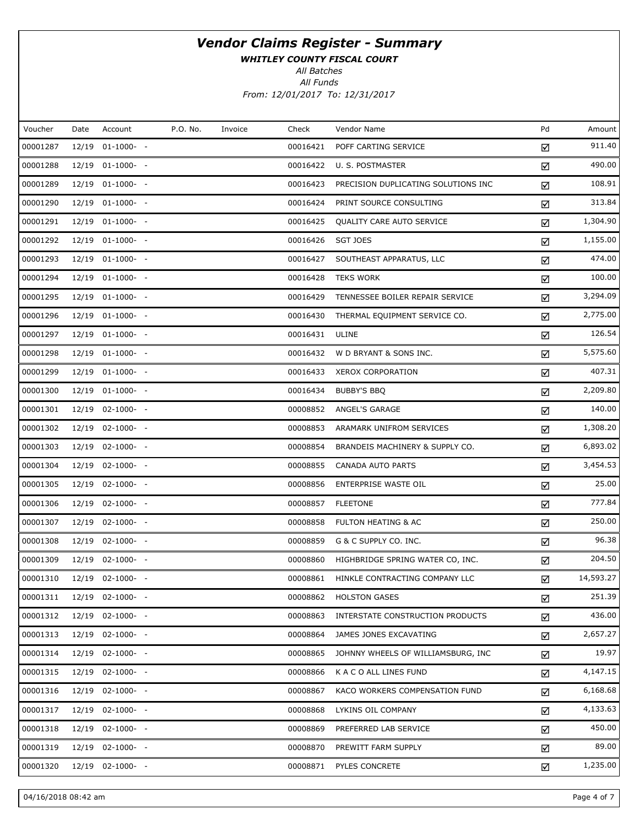WHITLEY COUNTY FISCAL COURT

All Batches

All Funds From: 12/01/2017 To: 12/31/2017

| Voucher  | Date  | Account          | P.O. No. | Invoice | Check    | Vendor Name                         | Pd | Amount    |
|----------|-------|------------------|----------|---------|----------|-------------------------------------|----|-----------|
| 00001287 | 12/19 | $01-1000-$       |          |         | 00016421 | POFF CARTING SERVICE                | ☑  | 911.40    |
| 00001288 |       | 12/19 01-1000- - |          |         | 00016422 | U. S. POSTMASTER                    | ☑  | 490.00    |
| 00001289 | 12/19 | $01-1000-$ -     |          |         | 00016423 | PRECISION DUPLICATING SOLUTIONS INC | ☑  | 108.91    |
| 00001290 |       | 12/19 01-1000- - |          |         | 00016424 | PRINT SOURCE CONSULTING             | ☑  | 313.84    |
| 00001291 | 12/19 | $01-1000-$       |          |         | 00016425 | QUALITY CARE AUTO SERVICE           | ☑  | 1,304.90  |
| 00001292 |       | 12/19 01-1000- - |          |         | 00016426 | <b>SGT JOES</b>                     | ☑  | 1,155.00  |
| 00001293 |       | 12/19 01-1000- - |          |         | 00016427 | SOUTHEAST APPARATUS, LLC            | ☑  | 474.00    |
| 00001294 |       | 12/19 01-1000- - |          |         | 00016428 | <b>TEKS WORK</b>                    | ☑  | 100.00    |
| 00001295 |       | 12/19 01-1000- - |          |         | 00016429 | TENNESSEE BOILER REPAIR SERVICE     | ☑  | 3,294.09  |
| 00001296 |       | 12/19 01-1000- - |          |         | 00016430 | THERMAL EQUIPMENT SERVICE CO.       | ☑  | 2,775.00  |
| 00001297 |       | 12/19 01-1000- - |          |         | 00016431 | ULINE                               | ☑  | 126.54    |
| 00001298 |       | 12/19 01-1000- - |          |         | 00016432 | W D BRYANT & SONS INC.              | ☑  | 5,575.60  |
| 00001299 |       | 12/19 01-1000- - |          |         | 00016433 | XEROX CORPORATION                   | ☑  | 407.31    |
| 00001300 |       | 12/19 01-1000- - |          |         | 00016434 | <b>BUBBY'S BBQ</b>                  | ☑  | 2,209.80  |
| 00001301 |       | 12/19 02-1000- - |          |         | 00008852 | ANGEL'S GARAGE                      | ☑  | 140.00    |
| 00001302 |       | 12/19 02-1000- - |          |         | 00008853 | ARAMARK UNIFROM SERVICES            | ☑  | 1,308.20  |
| 00001303 |       | 12/19 02-1000- - |          |         | 00008854 | BRANDEIS MACHINERY & SUPPLY CO.     | ☑  | 6,893.02  |
| 00001304 |       | 12/19 02-1000- - |          |         | 00008855 | CANADA AUTO PARTS                   | ☑  | 3,454.53  |
| 00001305 |       | 12/19 02-1000- - |          |         | 00008856 | ENTERPRISE WASTE OIL                | ☑  | 25.00     |
| 00001306 |       | 12/19 02-1000- - |          |         | 00008857 | <b>FLEETONE</b>                     | ☑  | 777.84    |
| 00001307 |       | 12/19 02-1000- - |          |         | 00008858 | <b>FULTON HEATING &amp; AC</b>      | ☑  | 250.00    |
| 00001308 |       | 12/19 02-1000- - |          |         | 00008859 | G & C SUPPLY CO. INC.               | ☑  | 96.38     |
| 00001309 |       | 12/19 02-1000- - |          |         | 00008860 | HIGHBRIDGE SPRING WATER CO, INC.    | ☑  | 204.50    |
| 00001310 |       | 12/19 02-1000- - |          |         | 00008861 | HINKLE CONTRACTING COMPANY LLC      | ☑  | 14,593.27 |
| 00001311 |       | 12/19 02-1000- - |          |         | 00008862 | <b>HOLSTON GASES</b>                | ☑  | 251.39    |
| 00001312 | 12/19 | $02 - 1000 - -$  |          |         | 00008863 | INTERSTATE CONSTRUCTION PRODUCTS    | ☑  | 436.00    |
| 00001313 |       | 12/19 02-1000- - |          |         | 00008864 | JAMES JONES EXCAVATING              | ☑  | 2,657.27  |
| 00001314 | 12/19 | $02 - 1000 - -$  |          |         | 00008865 | JOHNNY WHEELS OF WILLIAMSBURG, INC  | ☑  | 19.97     |
| 00001315 |       | 12/19 02-1000- - |          |         | 00008866 | K A C O ALL LINES FUND              | ☑  | 4,147.15  |
| 00001316 | 12/19 | $02 - 1000 - -$  |          |         | 00008867 | KACO WORKERS COMPENSATION FUND      | ☑  | 6,168.68  |
| 00001317 |       | 12/19 02-1000- - |          |         | 00008868 | LYKINS OIL COMPANY                  | ☑  | 4,133.63  |
| 00001318 | 12/19 | $02 - 1000 - -$  |          |         | 00008869 | PREFERRED LAB SERVICE               | ☑  | 450.00    |
| 00001319 | 12/19 | $02 - 1000 - -$  |          |         | 00008870 | PREWITT FARM SUPPLY                 | ☑  | 89.00     |
| 00001320 | 12/19 | $02 - 1000 - -$  |          |         | 00008871 | PYLES CONCRETE                      | ☑  | 1,235.00  |

04/16/2018 08:42 am Page 4 of 7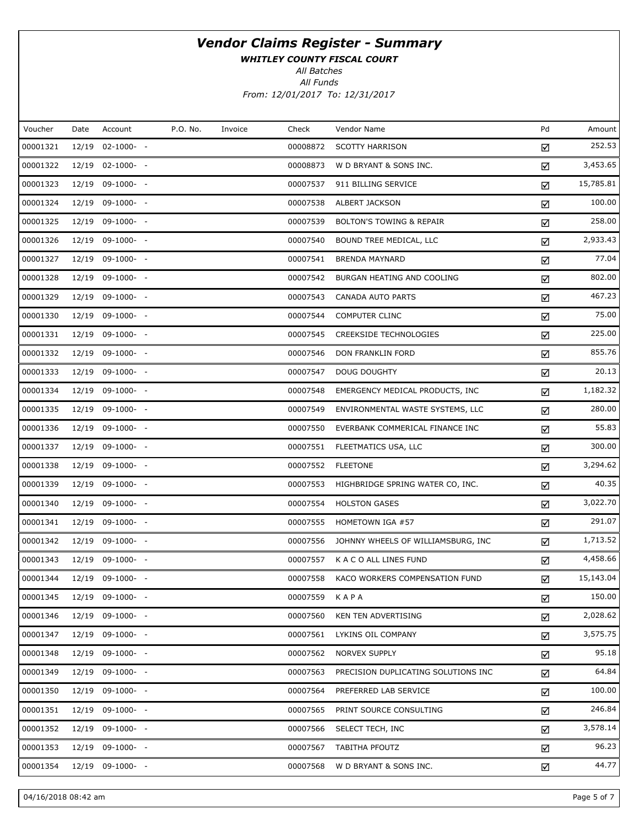WHITLEY COUNTY FISCAL COURT

All Batches

All Funds From: 12/01/2017 To: 12/31/2017

| P.O. No.<br>Pd<br>Voucher<br>Account<br>Check<br>Vendor Name<br>Date<br>Invoice<br>00001321<br>12/19 02-1000- -<br>00008872<br><b>SCOTTY HARRISON</b><br>☑<br>00001322<br>12/19 02-1000- -<br>00008873<br>W D BRYANT & SONS INC.<br>☑<br>00001323<br>12/19 09-1000- -<br>00007537<br>911 BILLING SERVICE<br>☑<br>00001324<br>12/19 09-1000- -<br>00007538<br><b>ALBERT JACKSON</b><br>☑<br>00001325<br>00007539<br>12/19 09-1000- -<br><b>BOLTON'S TOWING &amp; REPAIR</b><br>☑<br>00001326<br>12/19 09-1000- -<br>00007540<br>BOUND TREE MEDICAL, LLC<br>☑<br>00001327<br>12/19 09-1000- -<br>00007541<br><b>BRENDA MAYNARD</b><br>☑<br>00001328<br>12/19 09-1000- -<br>00007542<br>BURGAN HEATING AND COOLING<br>☑<br>00001329<br>12/19 09-1000- -<br>00007543<br>CANADA AUTO PARTS<br>☑<br>00001330<br>12/19 09-1000- -<br>00007544<br><b>COMPUTER CLINC</b><br>☑<br>00001331<br>12/19 09-1000- -<br>00007545<br>CREEKSIDE TECHNOLOGIES<br>☑<br>00001332<br>12/19 09-1000- -<br>00007546<br>DON FRANKLIN FORD<br>☑<br>00001333<br>12/19 09-1000- -<br>00007547<br><b>DOUG DOUGHTY</b><br>☑<br>00001334<br>12/19 09-1000- -<br>00007548<br>EMERGENCY MEDICAL PRODUCTS, INC<br>☑<br>00001335<br>12/19 09-1000- -<br>00007549<br>ENVIRONMENTAL WASTE SYSTEMS, LLC<br>☑<br>00001336<br>12/19 09-1000- -<br>00007550<br>EVERBANK COMMERICAL FINANCE INC<br>☑<br>00001337<br>12/19 09-1000- -<br>00007551<br>FLEETMATICS USA, LLC<br>☑<br>00001338<br>12/19 09-1000- -<br>00007552<br><b>FLEETONE</b><br>☑<br>00001339<br>12/19 09-1000- -<br>00007553<br>HIGHBRIDGE SPRING WATER CO, INC.<br>☑<br>00001340<br>12/19 09-1000- -<br>00007554<br><b>HOLSTON GASES</b><br>☑<br>00001341<br>12/19 09-1000- -<br>00007555<br>HOMETOWN IGA #57<br>☑<br>00001342<br>12/19 09-1000- -<br>00007556<br>JOHNNY WHEELS OF WILLIAMSBURG, INC<br>☑<br>00001343<br>12/19 09-1000- -<br>00007557<br>K A C O ALL LINES FUND<br>☑<br>00001344<br>12/19 09-1000- -<br>00007558<br>KACO WORKERS COMPENSATION FUND<br>☑<br>00001345<br>12/19 09-1000- -<br>00007559<br>KAPA<br>☑<br>00001346<br>12/19 09-1000- -<br>00007560<br>KEN TEN ADVERTISING<br>☑<br>00001347<br>12/19 09-1000- -<br>00007561<br>LYKINS OIL COMPANY<br>☑<br>00001348<br>12/19 09-1000- -<br>00007562<br><b>NORVEX SUPPLY</b><br>☑<br>00001349<br>12/19 09-1000- -<br>00007563<br>PRECISION DUPLICATING SOLUTIONS INC<br>☑<br>00001350<br>12/19 09-1000- -<br>00007564<br>PREFERRED LAB SERVICE<br>☑<br>00001351<br>12/19 09-1000- -<br>00007565<br>PRINT SOURCE CONSULTING<br>☑<br>00001352<br>12/19 09-1000- -<br>00007566<br>SELECT TECH, INC<br>☑<br>00001353<br>12/19 09-1000- -<br>00007567<br><b>TABITHA PFOUTZ</b><br>☑<br>00001354<br>12/19 09-1000- -<br>00007568<br>W D BRYANT & SONS INC.<br>☑ |  |  |  |  |           |
|----------------------------------------------------------------------------------------------------------------------------------------------------------------------------------------------------------------------------------------------------------------------------------------------------------------------------------------------------------------------------------------------------------------------------------------------------------------------------------------------------------------------------------------------------------------------------------------------------------------------------------------------------------------------------------------------------------------------------------------------------------------------------------------------------------------------------------------------------------------------------------------------------------------------------------------------------------------------------------------------------------------------------------------------------------------------------------------------------------------------------------------------------------------------------------------------------------------------------------------------------------------------------------------------------------------------------------------------------------------------------------------------------------------------------------------------------------------------------------------------------------------------------------------------------------------------------------------------------------------------------------------------------------------------------------------------------------------------------------------------------------------------------------------------------------------------------------------------------------------------------------------------------------------------------------------------------------------------------------------------------------------------------------------------------------------------------------------------------------------------------------------------------------------------------------------------------------------------------------------------------------------------------------------------------------------------------------------------------------------------------------------------------------------------------------------------------------------------------------------------------------------------------------------------------------------------------------------------------------------------------------------------------------------------------------------------------------------------------------------------------------|--|--|--|--|-----------|
|                                                                                                                                                                                                                                                                                                                                                                                                                                                                                                                                                                                                                                                                                                                                                                                                                                                                                                                                                                                                                                                                                                                                                                                                                                                                                                                                                                                                                                                                                                                                                                                                                                                                                                                                                                                                                                                                                                                                                                                                                                                                                                                                                                                                                                                                                                                                                                                                                                                                                                                                                                                                                                                                                                                                                          |  |  |  |  | Amount    |
|                                                                                                                                                                                                                                                                                                                                                                                                                                                                                                                                                                                                                                                                                                                                                                                                                                                                                                                                                                                                                                                                                                                                                                                                                                                                                                                                                                                                                                                                                                                                                                                                                                                                                                                                                                                                                                                                                                                                                                                                                                                                                                                                                                                                                                                                                                                                                                                                                                                                                                                                                                                                                                                                                                                                                          |  |  |  |  | 252.53    |
|                                                                                                                                                                                                                                                                                                                                                                                                                                                                                                                                                                                                                                                                                                                                                                                                                                                                                                                                                                                                                                                                                                                                                                                                                                                                                                                                                                                                                                                                                                                                                                                                                                                                                                                                                                                                                                                                                                                                                                                                                                                                                                                                                                                                                                                                                                                                                                                                                                                                                                                                                                                                                                                                                                                                                          |  |  |  |  | 3,453.65  |
|                                                                                                                                                                                                                                                                                                                                                                                                                                                                                                                                                                                                                                                                                                                                                                                                                                                                                                                                                                                                                                                                                                                                                                                                                                                                                                                                                                                                                                                                                                                                                                                                                                                                                                                                                                                                                                                                                                                                                                                                                                                                                                                                                                                                                                                                                                                                                                                                                                                                                                                                                                                                                                                                                                                                                          |  |  |  |  | 15,785.81 |
|                                                                                                                                                                                                                                                                                                                                                                                                                                                                                                                                                                                                                                                                                                                                                                                                                                                                                                                                                                                                                                                                                                                                                                                                                                                                                                                                                                                                                                                                                                                                                                                                                                                                                                                                                                                                                                                                                                                                                                                                                                                                                                                                                                                                                                                                                                                                                                                                                                                                                                                                                                                                                                                                                                                                                          |  |  |  |  | 100.00    |
|                                                                                                                                                                                                                                                                                                                                                                                                                                                                                                                                                                                                                                                                                                                                                                                                                                                                                                                                                                                                                                                                                                                                                                                                                                                                                                                                                                                                                                                                                                                                                                                                                                                                                                                                                                                                                                                                                                                                                                                                                                                                                                                                                                                                                                                                                                                                                                                                                                                                                                                                                                                                                                                                                                                                                          |  |  |  |  | 258.00    |
|                                                                                                                                                                                                                                                                                                                                                                                                                                                                                                                                                                                                                                                                                                                                                                                                                                                                                                                                                                                                                                                                                                                                                                                                                                                                                                                                                                                                                                                                                                                                                                                                                                                                                                                                                                                                                                                                                                                                                                                                                                                                                                                                                                                                                                                                                                                                                                                                                                                                                                                                                                                                                                                                                                                                                          |  |  |  |  | 2,933.43  |
|                                                                                                                                                                                                                                                                                                                                                                                                                                                                                                                                                                                                                                                                                                                                                                                                                                                                                                                                                                                                                                                                                                                                                                                                                                                                                                                                                                                                                                                                                                                                                                                                                                                                                                                                                                                                                                                                                                                                                                                                                                                                                                                                                                                                                                                                                                                                                                                                                                                                                                                                                                                                                                                                                                                                                          |  |  |  |  | 77.04     |
|                                                                                                                                                                                                                                                                                                                                                                                                                                                                                                                                                                                                                                                                                                                                                                                                                                                                                                                                                                                                                                                                                                                                                                                                                                                                                                                                                                                                                                                                                                                                                                                                                                                                                                                                                                                                                                                                                                                                                                                                                                                                                                                                                                                                                                                                                                                                                                                                                                                                                                                                                                                                                                                                                                                                                          |  |  |  |  | 802.00    |
|                                                                                                                                                                                                                                                                                                                                                                                                                                                                                                                                                                                                                                                                                                                                                                                                                                                                                                                                                                                                                                                                                                                                                                                                                                                                                                                                                                                                                                                                                                                                                                                                                                                                                                                                                                                                                                                                                                                                                                                                                                                                                                                                                                                                                                                                                                                                                                                                                                                                                                                                                                                                                                                                                                                                                          |  |  |  |  | 467.23    |
|                                                                                                                                                                                                                                                                                                                                                                                                                                                                                                                                                                                                                                                                                                                                                                                                                                                                                                                                                                                                                                                                                                                                                                                                                                                                                                                                                                                                                                                                                                                                                                                                                                                                                                                                                                                                                                                                                                                                                                                                                                                                                                                                                                                                                                                                                                                                                                                                                                                                                                                                                                                                                                                                                                                                                          |  |  |  |  | 75.00     |
|                                                                                                                                                                                                                                                                                                                                                                                                                                                                                                                                                                                                                                                                                                                                                                                                                                                                                                                                                                                                                                                                                                                                                                                                                                                                                                                                                                                                                                                                                                                                                                                                                                                                                                                                                                                                                                                                                                                                                                                                                                                                                                                                                                                                                                                                                                                                                                                                                                                                                                                                                                                                                                                                                                                                                          |  |  |  |  | 225.00    |
|                                                                                                                                                                                                                                                                                                                                                                                                                                                                                                                                                                                                                                                                                                                                                                                                                                                                                                                                                                                                                                                                                                                                                                                                                                                                                                                                                                                                                                                                                                                                                                                                                                                                                                                                                                                                                                                                                                                                                                                                                                                                                                                                                                                                                                                                                                                                                                                                                                                                                                                                                                                                                                                                                                                                                          |  |  |  |  | 855.76    |
|                                                                                                                                                                                                                                                                                                                                                                                                                                                                                                                                                                                                                                                                                                                                                                                                                                                                                                                                                                                                                                                                                                                                                                                                                                                                                                                                                                                                                                                                                                                                                                                                                                                                                                                                                                                                                                                                                                                                                                                                                                                                                                                                                                                                                                                                                                                                                                                                                                                                                                                                                                                                                                                                                                                                                          |  |  |  |  | 20.13     |
|                                                                                                                                                                                                                                                                                                                                                                                                                                                                                                                                                                                                                                                                                                                                                                                                                                                                                                                                                                                                                                                                                                                                                                                                                                                                                                                                                                                                                                                                                                                                                                                                                                                                                                                                                                                                                                                                                                                                                                                                                                                                                                                                                                                                                                                                                                                                                                                                                                                                                                                                                                                                                                                                                                                                                          |  |  |  |  | 1,182.32  |
|                                                                                                                                                                                                                                                                                                                                                                                                                                                                                                                                                                                                                                                                                                                                                                                                                                                                                                                                                                                                                                                                                                                                                                                                                                                                                                                                                                                                                                                                                                                                                                                                                                                                                                                                                                                                                                                                                                                                                                                                                                                                                                                                                                                                                                                                                                                                                                                                                                                                                                                                                                                                                                                                                                                                                          |  |  |  |  | 280.00    |
|                                                                                                                                                                                                                                                                                                                                                                                                                                                                                                                                                                                                                                                                                                                                                                                                                                                                                                                                                                                                                                                                                                                                                                                                                                                                                                                                                                                                                                                                                                                                                                                                                                                                                                                                                                                                                                                                                                                                                                                                                                                                                                                                                                                                                                                                                                                                                                                                                                                                                                                                                                                                                                                                                                                                                          |  |  |  |  | 55.83     |
|                                                                                                                                                                                                                                                                                                                                                                                                                                                                                                                                                                                                                                                                                                                                                                                                                                                                                                                                                                                                                                                                                                                                                                                                                                                                                                                                                                                                                                                                                                                                                                                                                                                                                                                                                                                                                                                                                                                                                                                                                                                                                                                                                                                                                                                                                                                                                                                                                                                                                                                                                                                                                                                                                                                                                          |  |  |  |  | 300.00    |
|                                                                                                                                                                                                                                                                                                                                                                                                                                                                                                                                                                                                                                                                                                                                                                                                                                                                                                                                                                                                                                                                                                                                                                                                                                                                                                                                                                                                                                                                                                                                                                                                                                                                                                                                                                                                                                                                                                                                                                                                                                                                                                                                                                                                                                                                                                                                                                                                                                                                                                                                                                                                                                                                                                                                                          |  |  |  |  | 3,294.62  |
|                                                                                                                                                                                                                                                                                                                                                                                                                                                                                                                                                                                                                                                                                                                                                                                                                                                                                                                                                                                                                                                                                                                                                                                                                                                                                                                                                                                                                                                                                                                                                                                                                                                                                                                                                                                                                                                                                                                                                                                                                                                                                                                                                                                                                                                                                                                                                                                                                                                                                                                                                                                                                                                                                                                                                          |  |  |  |  | 40.35     |
|                                                                                                                                                                                                                                                                                                                                                                                                                                                                                                                                                                                                                                                                                                                                                                                                                                                                                                                                                                                                                                                                                                                                                                                                                                                                                                                                                                                                                                                                                                                                                                                                                                                                                                                                                                                                                                                                                                                                                                                                                                                                                                                                                                                                                                                                                                                                                                                                                                                                                                                                                                                                                                                                                                                                                          |  |  |  |  | 3,022.70  |
|                                                                                                                                                                                                                                                                                                                                                                                                                                                                                                                                                                                                                                                                                                                                                                                                                                                                                                                                                                                                                                                                                                                                                                                                                                                                                                                                                                                                                                                                                                                                                                                                                                                                                                                                                                                                                                                                                                                                                                                                                                                                                                                                                                                                                                                                                                                                                                                                                                                                                                                                                                                                                                                                                                                                                          |  |  |  |  | 291.07    |
|                                                                                                                                                                                                                                                                                                                                                                                                                                                                                                                                                                                                                                                                                                                                                                                                                                                                                                                                                                                                                                                                                                                                                                                                                                                                                                                                                                                                                                                                                                                                                                                                                                                                                                                                                                                                                                                                                                                                                                                                                                                                                                                                                                                                                                                                                                                                                                                                                                                                                                                                                                                                                                                                                                                                                          |  |  |  |  | 1,713.52  |
|                                                                                                                                                                                                                                                                                                                                                                                                                                                                                                                                                                                                                                                                                                                                                                                                                                                                                                                                                                                                                                                                                                                                                                                                                                                                                                                                                                                                                                                                                                                                                                                                                                                                                                                                                                                                                                                                                                                                                                                                                                                                                                                                                                                                                                                                                                                                                                                                                                                                                                                                                                                                                                                                                                                                                          |  |  |  |  | 4,458.66  |
|                                                                                                                                                                                                                                                                                                                                                                                                                                                                                                                                                                                                                                                                                                                                                                                                                                                                                                                                                                                                                                                                                                                                                                                                                                                                                                                                                                                                                                                                                                                                                                                                                                                                                                                                                                                                                                                                                                                                                                                                                                                                                                                                                                                                                                                                                                                                                                                                                                                                                                                                                                                                                                                                                                                                                          |  |  |  |  | 15,143.04 |
|                                                                                                                                                                                                                                                                                                                                                                                                                                                                                                                                                                                                                                                                                                                                                                                                                                                                                                                                                                                                                                                                                                                                                                                                                                                                                                                                                                                                                                                                                                                                                                                                                                                                                                                                                                                                                                                                                                                                                                                                                                                                                                                                                                                                                                                                                                                                                                                                                                                                                                                                                                                                                                                                                                                                                          |  |  |  |  | 150.00    |
|                                                                                                                                                                                                                                                                                                                                                                                                                                                                                                                                                                                                                                                                                                                                                                                                                                                                                                                                                                                                                                                                                                                                                                                                                                                                                                                                                                                                                                                                                                                                                                                                                                                                                                                                                                                                                                                                                                                                                                                                                                                                                                                                                                                                                                                                                                                                                                                                                                                                                                                                                                                                                                                                                                                                                          |  |  |  |  | 2,028.62  |
|                                                                                                                                                                                                                                                                                                                                                                                                                                                                                                                                                                                                                                                                                                                                                                                                                                                                                                                                                                                                                                                                                                                                                                                                                                                                                                                                                                                                                                                                                                                                                                                                                                                                                                                                                                                                                                                                                                                                                                                                                                                                                                                                                                                                                                                                                                                                                                                                                                                                                                                                                                                                                                                                                                                                                          |  |  |  |  | 3,575.75  |
|                                                                                                                                                                                                                                                                                                                                                                                                                                                                                                                                                                                                                                                                                                                                                                                                                                                                                                                                                                                                                                                                                                                                                                                                                                                                                                                                                                                                                                                                                                                                                                                                                                                                                                                                                                                                                                                                                                                                                                                                                                                                                                                                                                                                                                                                                                                                                                                                                                                                                                                                                                                                                                                                                                                                                          |  |  |  |  | 95.18     |
|                                                                                                                                                                                                                                                                                                                                                                                                                                                                                                                                                                                                                                                                                                                                                                                                                                                                                                                                                                                                                                                                                                                                                                                                                                                                                                                                                                                                                                                                                                                                                                                                                                                                                                                                                                                                                                                                                                                                                                                                                                                                                                                                                                                                                                                                                                                                                                                                                                                                                                                                                                                                                                                                                                                                                          |  |  |  |  | 64.84     |
|                                                                                                                                                                                                                                                                                                                                                                                                                                                                                                                                                                                                                                                                                                                                                                                                                                                                                                                                                                                                                                                                                                                                                                                                                                                                                                                                                                                                                                                                                                                                                                                                                                                                                                                                                                                                                                                                                                                                                                                                                                                                                                                                                                                                                                                                                                                                                                                                                                                                                                                                                                                                                                                                                                                                                          |  |  |  |  | 100.00    |
|                                                                                                                                                                                                                                                                                                                                                                                                                                                                                                                                                                                                                                                                                                                                                                                                                                                                                                                                                                                                                                                                                                                                                                                                                                                                                                                                                                                                                                                                                                                                                                                                                                                                                                                                                                                                                                                                                                                                                                                                                                                                                                                                                                                                                                                                                                                                                                                                                                                                                                                                                                                                                                                                                                                                                          |  |  |  |  | 246.84    |
|                                                                                                                                                                                                                                                                                                                                                                                                                                                                                                                                                                                                                                                                                                                                                                                                                                                                                                                                                                                                                                                                                                                                                                                                                                                                                                                                                                                                                                                                                                                                                                                                                                                                                                                                                                                                                                                                                                                                                                                                                                                                                                                                                                                                                                                                                                                                                                                                                                                                                                                                                                                                                                                                                                                                                          |  |  |  |  | 3,578.14  |
|                                                                                                                                                                                                                                                                                                                                                                                                                                                                                                                                                                                                                                                                                                                                                                                                                                                                                                                                                                                                                                                                                                                                                                                                                                                                                                                                                                                                                                                                                                                                                                                                                                                                                                                                                                                                                                                                                                                                                                                                                                                                                                                                                                                                                                                                                                                                                                                                                                                                                                                                                                                                                                                                                                                                                          |  |  |  |  | 96.23     |
|                                                                                                                                                                                                                                                                                                                                                                                                                                                                                                                                                                                                                                                                                                                                                                                                                                                                                                                                                                                                                                                                                                                                                                                                                                                                                                                                                                                                                                                                                                                                                                                                                                                                                                                                                                                                                                                                                                                                                                                                                                                                                                                                                                                                                                                                                                                                                                                                                                                                                                                                                                                                                                                                                                                                                          |  |  |  |  | 44.77     |

04/16/2018 08:42 am Page 5 of 7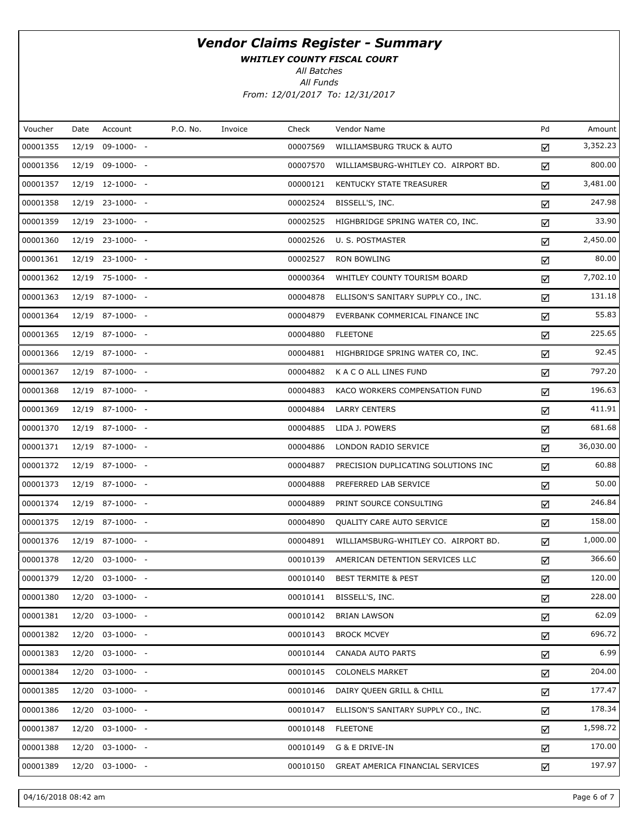WHITLEY COUNTY FISCAL COURT

All Batches

| Voucher  | Date  | Account          | P.O. No. | Invoice | Check    | Vendor Name                          | Pd | Amount    |
|----------|-------|------------------|----------|---------|----------|--------------------------------------|----|-----------|
| 00001355 | 12/19 | $09-1000- -$     |          |         | 00007569 | WILLIAMSBURG TRUCK & AUTO            | ☑  | 3,352.23  |
| 00001356 |       | 12/19 09-1000- - |          |         | 00007570 | WILLIAMSBURG-WHITLEY CO. AIRPORT BD. | ☑  | 800.00    |
| 00001357 |       | 12/19 12-1000- - |          |         | 00000121 | KENTUCKY STATE TREASURER             | ☑  | 3,481.00  |
| 00001358 |       | 12/19 23-1000- - |          |         | 00002524 | BISSELL'S, INC.                      | ☑  | 247.98    |
| 00001359 |       | 12/19 23-1000- - |          |         | 00002525 | HIGHBRIDGE SPRING WATER CO, INC.     | ☑  | 33.90     |
| 00001360 |       | 12/19 23-1000- - |          |         | 00002526 | U. S. POSTMASTER                     | ☑  | 2,450.00  |
| 00001361 |       | 12/19 23-1000- - |          |         | 00002527 | <b>RON BOWLING</b>                   | ☑  | 80.00     |
| 00001362 |       | 12/19 75-1000- - |          |         | 00000364 | WHITLEY COUNTY TOURISM BOARD         | ☑  | 7,702.10  |
| 00001363 |       | 12/19 87-1000- - |          |         | 00004878 | ELLISON'S SANITARY SUPPLY CO., INC.  | ☑  | 131.18    |
| 00001364 |       | 12/19 87-1000- - |          |         | 00004879 | EVERBANK COMMERICAL FINANCE INC      | ☑  | 55.83     |
| 00001365 |       | 12/19 87-1000- - |          |         | 00004880 | <b>FLEETONE</b>                      | ☑  | 225.65    |
| 00001366 |       | 12/19 87-1000- - |          |         | 00004881 | HIGHBRIDGE SPRING WATER CO, INC.     | ☑  | 92.45     |
| 00001367 |       | 12/19 87-1000- - |          |         | 00004882 | K A C O ALL LINES FUND               | ☑  | 797.20    |
| 00001368 |       | 12/19 87-1000- - |          |         | 00004883 | KACO WORKERS COMPENSATION FUND       | ☑  | 196.63    |
| 00001369 |       | 12/19 87-1000- - |          |         | 00004884 | <b>LARRY CENTERS</b>                 | ☑  | 411.91    |
| 00001370 |       | 12/19 87-1000- - |          |         | 00004885 | LIDA J. POWERS                       | ☑  | 681.68    |
| 00001371 |       | 12/19 87-1000- - |          |         | 00004886 | LONDON RADIO SERVICE                 | ☑  | 36,030.00 |
| 00001372 |       | 12/19 87-1000- - |          |         | 00004887 | PRECISION DUPLICATING SOLUTIONS INC  | ☑  | 60.88     |
| 00001373 |       | 12/19 87-1000- - |          |         | 00004888 | PREFERRED LAB SERVICE                | ☑  | 50.00     |
| 00001374 |       | 12/19 87-1000- - |          |         | 00004889 | PRINT SOURCE CONSULTING              | ☑  | 246.84    |
| 00001375 |       | 12/19 87-1000- - |          |         | 00004890 | QUALITY CARE AUTO SERVICE            | ☑  | 158.00    |
| 00001376 |       | 12/19 87-1000- - |          |         | 00004891 | WILLIAMSBURG-WHITLEY CO. AIRPORT BD. | ☑  | 1,000.00  |
| 00001378 |       | 12/20 03-1000- - |          |         | 00010139 | AMERICAN DETENTION SERVICES LLC      | ☑  | 366.60    |
| 00001379 |       | 12/20 03-1000- - |          |         | 00010140 | <b>BEST TERMITE &amp; PEST</b>       | ☑  | 120.00    |
| 00001380 |       | 12/20 03-1000- - |          |         | 00010141 | BISSELL'S, INC.                      | ☑  | 228.00    |
| 00001381 |       | 12/20 03-1000- - |          |         | 00010142 | <b>BRIAN LAWSON</b>                  | ☑  | 62.09     |
| 00001382 |       | 12/20 03-1000- - |          |         | 00010143 | <b>BROCK MCVEY</b>                   | ☑  | 696.72    |
| 00001383 |       | 12/20 03-1000- - |          |         | 00010144 | <b>CANADA AUTO PARTS</b>             | ☑  | 6.99      |
| 00001384 |       | 12/20 03-1000- - |          |         | 00010145 | <b>COLONELS MARKET</b>               | ☑  | 204.00    |
| 00001385 |       | 12/20 03-1000- - |          |         | 00010146 | DAIRY QUEEN GRILL & CHILL            | ☑  | 177.47    |
| 00001386 |       | 12/20 03-1000- - |          |         | 00010147 | ELLISON'S SANITARY SUPPLY CO., INC.  | ☑  | 178.34    |
| 00001387 |       | 12/20 03-1000- - |          |         | 00010148 | <b>FLEETONE</b>                      | ☑  | 1,598.72  |
| 00001388 |       | 12/20 03-1000- - |          |         | 00010149 | G & E DRIVE-IN                       | ☑  | 170.00    |
| 00001389 |       | 12/20 03-1000- - |          |         | 00010150 | GREAT AMERICA FINANCIAL SERVICES     | ☑  | 197.97    |